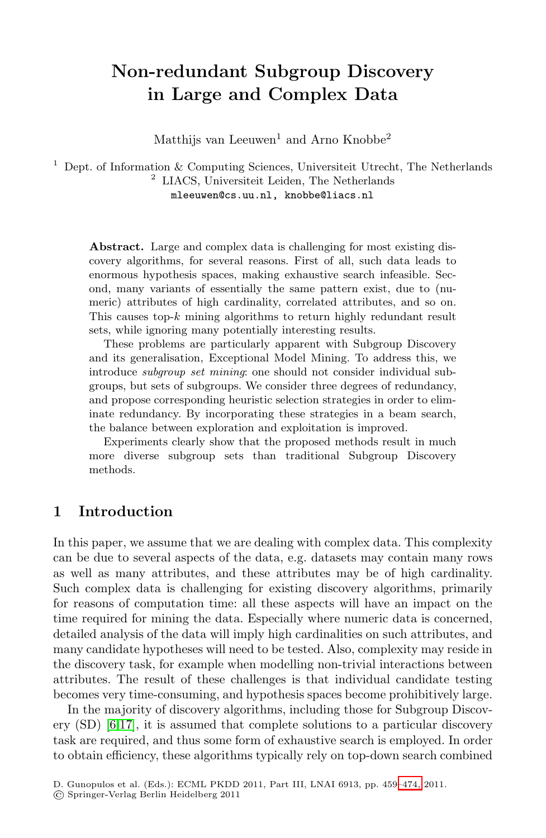# **Non-redundant Subgroup Discovery in Large and Complex Data**

Matthijs van Leeuwen<sup>1</sup> and Arno Knobbe<sup>2</sup>

<sup>1</sup> Dept. of Information & Computing Sciences, Universiteit Utrecht, The Netherlands <sup>2</sup> LIACS, Universiteit Leiden, The Netherlands mleeuwen@cs.uu.nl, knobbe@liacs.nl

**Abstract.** Large and complex data is challenging for most existing discovery algorithms, for several reasons. First of all, such data leads to enormous hypothesis spaces, making exhaustive search infeasible. Second, many variants of essentially the same pattern exist, due to (numeric) attributes of high cardinality, correlated attributes, and so on. This causes top- $k$  mining algorithms to return highly redundant result sets, while ignoring many potentially interesting results.

These problems are particularly apparent with Subgroup Discovery and its generalisation, Exceptional Model Mining. To address this, we introduce *subgroup set mining*: one should not consider individual subgroups, but sets of subgroups. We consider three degrees of redundancy, and propose corresponding heuristic selection strategies in order to eliminate redundancy. By incorporating these strategies in a beam search, the balance between exploration and exploitation is improved.

Experiments clearly show that the proposed methods result in much more diverse subgroup sets than traditional Subgroup Discovery methods.

# **1 Introduction**

In this paper, we assume that we are dealing with complex data. This complexity can be due to several aspects of the data, e.g. datasets may contain many rows as well as many attributes, and these attributes may be of high cardinality. Such complex data is challenging for existing discovery algorithms, primarily for reasons of computation time: all these aspects will have an impact on the time required for mining the data. Especially where numeric data is concerned, detailed analysis of the data will imply high cardinalities on such attributes, and many candidate hypotheses will need to be tested. Also, complexity may reside in the discovery task, for example when modelling non-trivial interactions between attributes. The result of these challenges is that individual candidate testing becomes very time-consuming, and hypothesis spaces become prohibitively large.

In the majority of discovery algorithms, including those for Subgroup Discovery (SD) [\[6](#page-15-0)[,17\]](#page-15-1), it is assumed that complete solutions to a particular discovery task are required, and thus some form of exhaustive search is employed. In order to obtain efficiency, these algorithms typically rely on top-down search combined

D. Gunopulos et al. (Eds.): ECML PKDD 2011, Part III, LNAI 6913, pp. 459[–474,](#page-15-2) 2011.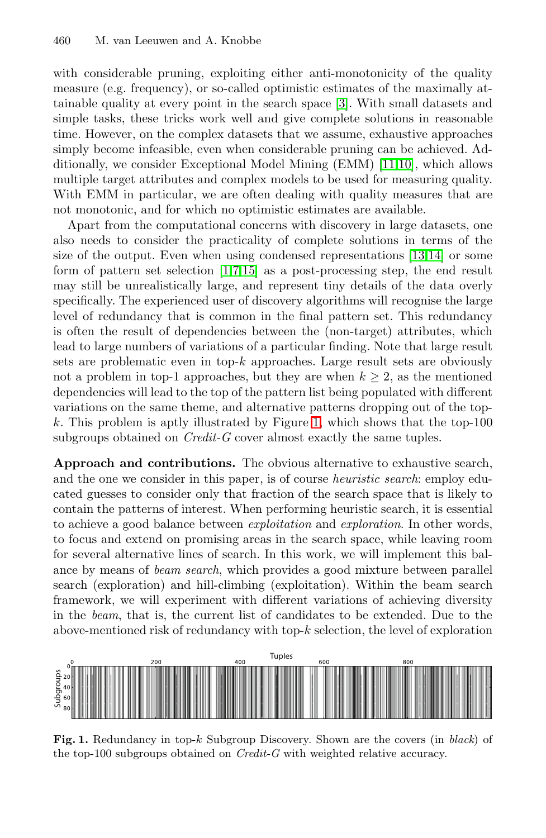with considerable pruning, exploiting either anti-monotonicity of the quality measure (e.g. frequency), or so-called optimistic estimates of the maximally attainable quality at every point in the search space [\[3\]](#page-15-3). With small datasets and simple tasks, these tricks work well and give complete solutions in reasonable time. However, on the complex datasets that we assume, exhaustive approaches simply become infeasible, even when considerable pruning can be achieved. Additionally, we consider Exceptional Model Mining (EMM) [\[11,](#page-15-4)[10\]](#page-15-5), which allows multiple target attributes and complex models to be used for measuring quality. With EMM in particular, we are often dealing with quality measures that are not monotonic, and for which no optimistic estimates are available.

Apart from the computational concerns with discovery in large datasets, one also needs to consider the practicality of complete solutions in terms of the size of the output. Even when using condensed representations [\[13](#page-15-6)[,14\]](#page-15-7) or some form of pattern set selection [\[1](#page-15-8)[,7,](#page-15-9)[15\]](#page-15-10) as a post-processing step, the end result may still be unrealistically large, and represent tiny details of the data overly specifically. The experienced user of discovery algorithms will recognise the large level of redundancy that is common in the final pattern set. This redundancy is often the result of dependencies between the (non-target) attributes, which lead to large numbers of variations of a particular finding. Note that large result sets are problematic even in top- $k$  approaches. Large result sets are obviously not a problem in top-1 approaches, but they are when  $k \geq 2$ , as the mentioned dependencies will lead to the top of the pattern list being populated with different variations on the same theme, and alternative patterns dropping out of the topk. This problem is aptly illustrated by Figure [1,](#page-1-0) which shows that the top-100 subgroups obtained on *Credit-G* cover almost exactly the same tuples.

**Approach and contributions.** The obvious alternative to exhaustive search, and the one we consider in this paper, is of course *heuristic search*: employ educated guesses to consider only that fraction of the search space that is likely to contain the patterns of interest. When performing heuristic search, it is essential to achieve a good balance between *exploitation* and *exploration*. In other words, to focus and extend on promising areas in the search space, while leaving room for several alternative lines of search. In this work, we will implement this balance by means of *beam search*, which provides a good mixture between parallel search (exploration) and hill-climbing (exploitation). Within the beam search framework, we will experiment with different variations of achieving diversity in the *beam*, that is, the current list of candidates to be extended. Due to the above-mentioned risk of redundancy with top-k selection, the level of exploration



<span id="page-1-0"></span>**Fig. 1.** Redundancy in top-k Subgroup Discovery. Shown are the covers (in *black*) of the top-100 subgroups obtained on *Credit-G* with weighted relative accuracy.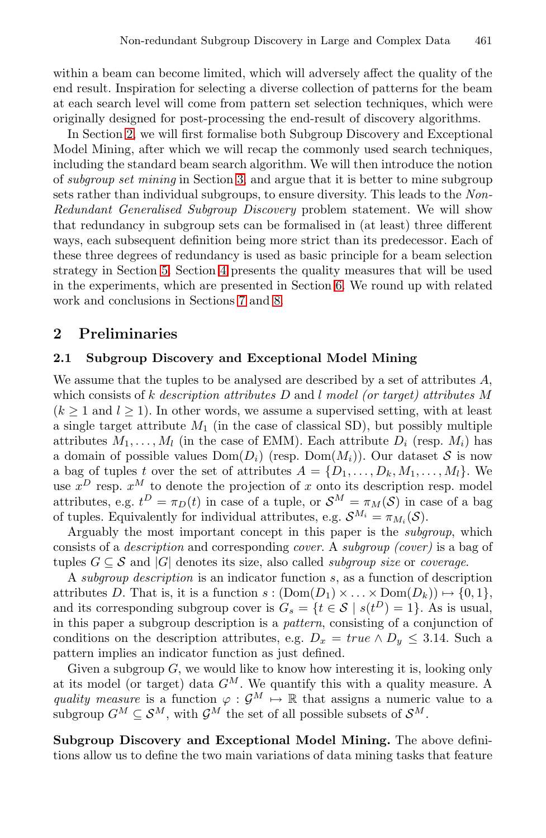within a beam can become limited, which will adversely affect the quality of the end result. Inspiration for selecting a diverse collection of patterns for the beam at each search level will come from pattern set selection techniques, which were originally designed for post-processing the end-result of discovery algorithms.

In Section [2,](#page-2-0) we will first formalise both Subgroup Discovery and Exceptional Model Mining, after which we will recap the commonly used search techniques, including the standard beam search algorithm. We will then introduce the notion of *subgroup set mining* in Section [3,](#page-4-0) and argue that it is better to mine subgroup sets rather than individual subgroups, to ensure diversity. This leads to the *Non-Redundant Generalised Subgroup Discovery* problem statement. We will show that redundancy in subgroup sets can be formalised in (at least) three different ways, each subsequent definition being more strict than its predecessor. Each of these three degrees of redundancy is used as basic principle for a beam selection strategy in Section [5.](#page-6-0) Section [4](#page-5-0) presents the quality measures that will be used in the experiments, which are presented in Section [6.](#page-9-0) We round up with related work and conclusions in Sections [7](#page-14-0) and [8.](#page-14-1)

### <span id="page-2-0"></span>**2 Preliminaries**

#### **2.1 Subgroup Discovery and Exceptional Model Mining**

We assume that the tuples to be analysed are described by a set of attributes  $A$ , which consists of k *description attributes* D and l *model (or target) attributes* M  $(k \geq 1$  and  $l \geq 1$ ). In other words, we assume a supervised setting, with at least a single target attribute  $M_1$  (in the case of classical SD), but possibly multiple attributes  $M_1, \ldots, M_l$  (in the case of EMM). Each attribute  $D_i$  (resp.  $M_i$ ) has a domain of possible values  $Dom(D_i)$  (resp.  $Dom(M_i)$ ). Our dataset S is now a bag of tuples t over the set of attributes  $A = \{D_1, \ldots, D_k, M_1, \ldots, M_l\}$ . We use  $x^D$  resp.  $x^M$  to denote the projection of x onto its description resp. model attributes, e.g.  $t^D = \pi_D(t)$  in case of a tuple, or  $\mathcal{S}^M = \pi_M(\mathcal{S})$  in case of a bag of tuples. Equivalently for individual attributes, e.g.  $S^{M_i} = \pi_{M_i}(S)$ .

Arguably the most important concept in this paper is the *subgroup*, which consists of a *description* and corresponding *cover*. A *subgroup (cover)* is a bag of tuples  $G \subseteq S$  and  $|G|$  denotes its size, also called *subgroup size* or *coverage*.

A *subgroup description* is an indicator function s, as a function of description attributes D. That is, it is a function  $s : (Dom(D_1) \times ... \times Dom(D_k)) \mapsto \{0,1\},\$ and its corresponding subgroup cover is  $G_s = \{t \in S \mid s(t^D) = 1\}$ . As is usual, in this paper a subgroup description is a *pattern*, consisting of a conjunction of conditions on the description attributes, e.g.  $D_x = true \wedge D_y \leq 3.14$ . Such a pattern implies an indicator function as just defined.

Given a subgroup  $G$ , we would like to know how interesting it is, looking only at its model (or target) data  $G^M$ . We quantify this with a quality measure. A *quality measure* is a function  $\varphi : \mathcal{G}^M \to \mathbb{R}$  that assigns a numeric value to a subgroup  $G^M \subseteq S^M$ , with  $\mathcal{G}^M$  the set of all possible subsets of  $\mathcal{S}^M$ .

**Subgroup Discovery and Exceptional Model Mining.** The above definitions allow us to define the two main variations of data mining tasks that feature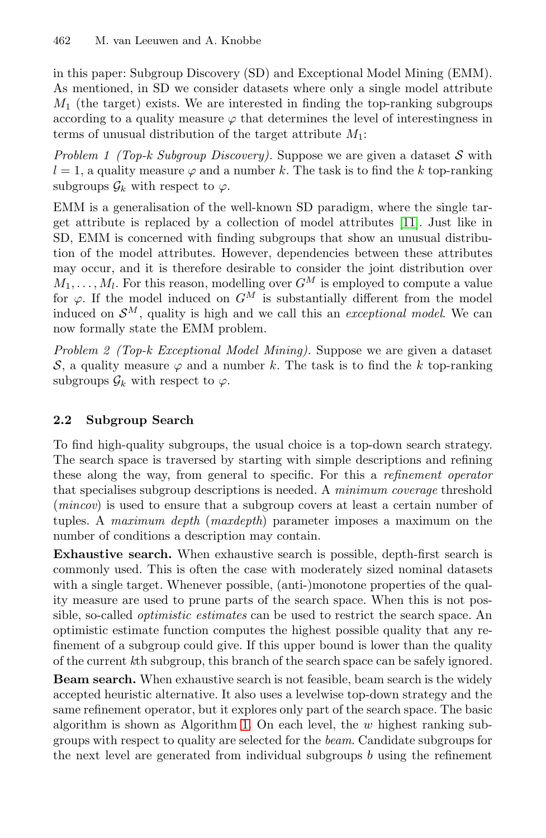in this paper: Subgroup Discovery (SD) and Exceptional Model Mining (EMM). As mentioned, in SD we consider datasets where only a single model attribute  $M_1$  (the target) exists. We are interested in finding the top-ranking subgroups according to a quality measure  $\varphi$  that determines the level of interestingness in terms of unusual distribution of the target attribute  $M_1$ :

*Problem 1 (Top-k Subgroup Discovery).* Suppose we are given a dataset S with  $l = 1$ , a quality measure  $\varphi$  and a number k. The task is to find the k top-ranking subgroups  $\mathcal{G}_k$  with respect to  $\varphi$ .

EMM is a generalisation of the well-known SD paradigm, where the single target attribute is replaced by a collection of model attributes [\[11\]](#page-15-4). Just like in SD, EMM is concerned with finding subgroups that show an unusual distribution of the model attributes. However, dependencies between these attributes may occur, and it is therefore desirable to consider the joint distribution over  $M_1, \ldots, M_l$ . For this reason, modelling over  $G^M$  is employed to compute a value for  $\varphi$ . If the model induced on  $G^M$  is substantially different from the model induced on  $\mathcal{S}^M$ , quality is high and we call this an *exceptional model*. We can now formally state the EMM problem.

*Problem 2 (Top-k Exceptional Model Mining).* Suppose we are given a dataset S, a quality measure  $\varphi$  and a number k. The task is to find the k top-ranking subgroups  $\mathcal{G}_k$  with respect to  $\varphi$ .

# **2.2 Subgroup Search**

To find high-quality subgroups, the usual choice is a top-down search strategy. The search space is traversed by starting with simple descriptions and refining these along the way, from general to specific. For this a *refinement operator* that specialises subgroup descriptions is needed. A *minimum coverage* threshold (*mincov*) is used to ensure that a subgroup covers at least a certain number of tuples. A *maximum depth* (*maxdepth*) parameter imposes a maximum on the number of conditions a description may contain.

**Exhaustive search.** When exhaustive search is possible, depth-first search is commonly used. This is often the case with moderately sized nominal datasets with a single target. Whenever possible, (anti-)monotone properties of the quality measure are used to prune parts of the search space. When this is not possible, so-called *optimistic estimates* can be used to restrict the search space. An optimistic estimate function computes the highest possible quality that any refinement of a subgroup could give. If this upper bound is lower than the quality of the current *k*th subgroup, this branch of the search space can be safely ignored.

**Beam search.** When exhaustive search is not feasible, beam search is the widely accepted heuristic alternative. It also uses a levelwise top-down strategy and the same refinement operator, but it explores only part of the search space. The basic algorithm is shown as Algorithm [1.](#page-4-1) On each level, the  $w$  highest ranking subgroups with respect to quality are selected for the *beam*. Candidate subgroups for the next level are generated from individual subgroups  $b$  using the refinement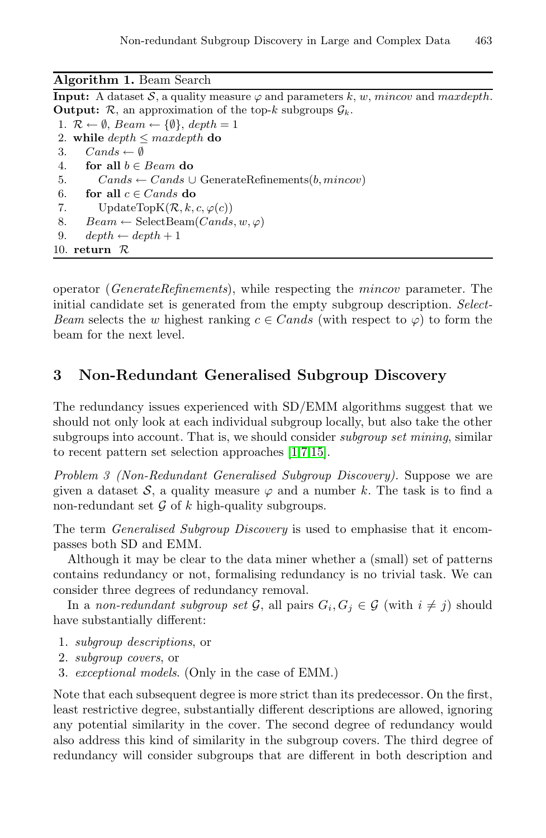#### **Algorithm 1.** Beam Search

**Input:** A dataset S, a quality measure  $\varphi$  and parameters k, w, mincov and maxdepth. **Output:**  $\mathcal{R}$ , an approximation of the top-k subgroups  $\mathcal{G}_k$ . 1.  $\mathcal{R} \leftarrow \emptyset$ , Beam  $\leftarrow \{\emptyset\}$ , depth = 1 2. while  $depth \leq maxdepth$  do 3.  $Cands \leftarrow \emptyset$ 4. **for all**  $b \in$  *Beam* **do**5. Cands ← Cands ∪ GenerateRefinements $(b, mincov)$ 6. **for all**  $c \in C$  *ands* **do** 7. UpdateTopK $(\mathcal{R}, k, c, \varphi(c))$ 8.  $Bean \leftarrow SelectBeam(Cands, w, \varphi)$ 9. depth  $\leftarrow depth + 1$ 10. **return** R

<span id="page-4-1"></span>operator (*GenerateRefinements*), while respecting the mincov parameter. The initial candidate set is generated from the empty subgroup description. *Select-Beam* selects the w highest ranking  $c \in Cands$  (with respect to  $\varphi$ ) to form the beam for the next level.

### <span id="page-4-0"></span>**3 Non-Redundant Generalised Subgroup Discovery**

The redundancy issues experienced with SD/EMM algorithms suggest that we should not only look at each individual subgroup locally, but also take the other subgroups into account. That is, we should consider *subgroup set mining*, similar to recent pattern set selection approaches [\[1](#page-15-8)[,7,](#page-15-9)[15\]](#page-15-10).

*Problem 3 (Non-Redundant Generalised Subgroup Discovery).* Suppose we are given a dataset S, a quality measure  $\varphi$  and a number k. The task is to find a non-redundant set  $G$  of  $k$  high-quality subgroups.

The term *Generalised Subgroup Discovery* is used to emphasise that it encompasses both SD and EMM.

Although it may be clear to the data miner whether a (small) set of patterns contains redundancy or not, formalising redundancy is no trivial task. We can consider three degrees of redundancy removal.

In a *non-redundant subgroup set* G, all pairs  $G_i, G_j \in \mathcal{G}$  (with  $i \neq j$ ) should have substantially different:

- 1. *subgroup descriptions*, or
- 2. *subgroup covers*, or
- 3. *exceptional models*. (Only in the case of EMM.)

Note that each subsequent degree is more strict than its predecessor. On the first, least restrictive degree, substantially different descriptions are allowed, ignoring any potential similarity in the cover. The second degree of redundancy would also address this kind of similarity in the subgroup covers. The third degree of redundancy will consider subgroups that are different in both description and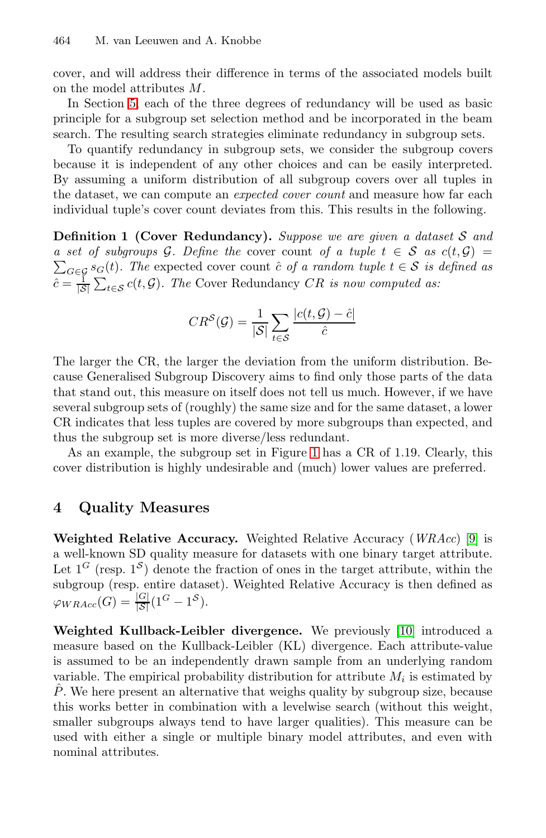cover, and will address their difference in terms of the associated models built on the model attributes M.

In Section [5,](#page-6-0) each of the three degrees of redundancy will be used as basic principle for a subgroup set selection method and be incorporated in the beam search. The resulting search strategies eliminate redundancy in subgroup sets.

To quantify redundancy in subgroup sets, we consider the subgroup covers because it is independent of any other choices and can be easily interpreted. By assuming a uniform distribution of all subgroup covers over all tuples in the dataset, we can compute an *expected cover count* and measure how far each individual tuple's cover count deviates from this. This results in the following.

**Definition 1 (Cover Redundancy).** *Suppose we are given a dataset* S *and*  $\sum_{G \in \mathcal{G}} s_G(t)$ . The expected cover count  $\hat{c}$  *of a random tuple*  $t \in \mathcal{S}$  *is defined as a set of subgroups*  $G$ *. Define the* cover count *of a tuple*  $t \in S$  *as*  $c(t, G)$  =  $\hat{c} = \frac{1}{|\mathcal{S}|} \sum_{t \in \mathcal{S}} c(t, \mathcal{G})$ *. The* Cover Redundancy *CR is now computed as:* 

$$
CR^{\mathcal{S}}(\mathcal{G}) = \frac{1}{|\mathcal{S}|} \sum_{t \in \mathcal{S}} \frac{|c(t, \mathcal{G}) - \hat{c}|}{\hat{c}}
$$

The larger the CR, the larger the deviation from the uniform distribution. Because Generalised Subgroup Discovery aims to find only those parts of the data that stand out, this measure on itself does not tell us much. However, if we have several subgroup sets of (roughly) the same size and for the same dataset, a lower CR indicates that less tuples are covered by more subgroups than expected, and thus the subgroup set is more diverse/less redundant.

As an example, the subgroup set in Figure [1](#page-1-0) has a CR of 1.19. Clearly, this cover distribution is highly undesirable and (much) lower values are preferred.

# <span id="page-5-0"></span>**4 Quality Measures**

**Weighted Relative Accuracy.** Weighted Relative Accuracy (*WRAcc*) [\[9\]](#page-15-11) is a well-known SD quality measure for datasets with one binary target attribute. Let  $1^G$  (resp.  $1^S$ ) denote the fraction of ones in the target attribute, within the subgroup (resp. entire dataset). Weighted Relative Accuracy is then defined as  $\varphi_{WRAcc}(G) = \frac{|G|}{|S|}(1^G - 1^S).$ 

**Weighted Kullback-Leibler divergence.** We previously [\[10\]](#page-15-5) introduced a measure based on the Kullback-Leibler (KL) divergence. Each attribute-value is assumed to be an independently drawn sample from an underlying random variable. The empirical probability distribution for attribute  $M_i$  is estimated by P. We here present an alternative that weighs quality by subgroup size, because this works better in combination with a levelwise search (without this weight, smaller subgroups always tend to have larger qualities). This measure can be used with either a single or multiple binary model attributes, and even with nominal attributes.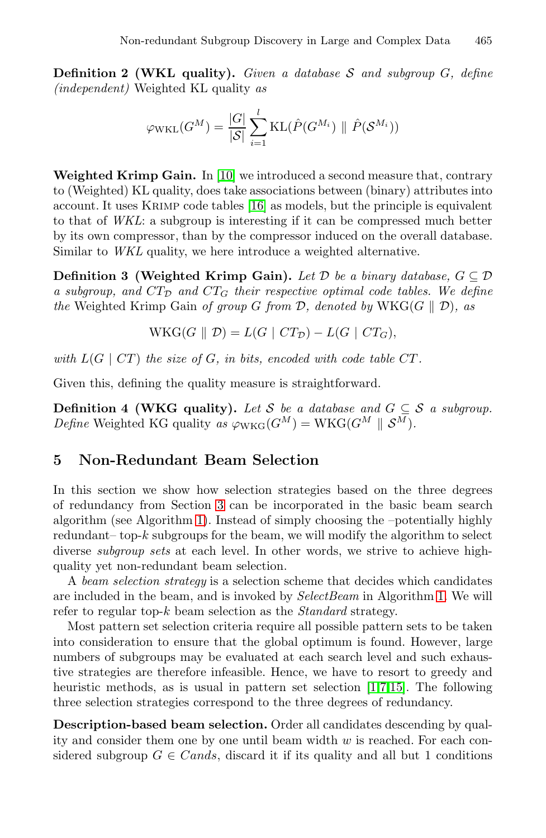**Definition 2 (WKL quality).** *Given a database* S *and subgroup* G*, define (independent)* Weighted KL quality *as*

$$
\varphi_{\text{WKL}}(G^M) = \frac{|G|}{|S|} \sum_{i=1}^{l} \text{KL}(\hat{P}(G^{M_i}) \parallel \hat{P}(\mathcal{S}^{M_i}))
$$

**Weighted Krimp Gain.** In [\[10\]](#page-15-5) we introduced a second measure that, contrary to (Weighted) KL quality, does take associations between (binary) attributes into account. It uses Krimp code tables [\[16\]](#page-15-12) as models, but the principle is equivalent to that of *WKL*: a subgroup is interesting if it can be compressed much better by its own compressor, than by the compressor induced on the overall database. Similar to *WKL* quality, we here introduce a weighted alternative.

**Definition 3 (Weighted Krimp Gain).** Let  $\mathcal{D}$  be a binary database,  $G \subseteq \mathcal{D}$ *a subgroup, and*  $CT_{\mathcal{D}}$  *and*  $CT_{G}$  *their respective optimal code tables. We define the* Weighted Krimp Gain *of group*  $G$  *from*  $D$ *, denoted by* WKG $(G \parallel D)$ *, as* 

$$
WKG(G || \mathcal{D}) = L(G | CT_{\mathcal{D}}) - L(G | CT_G),
$$

*with*  $L(G | CT)$  *the size of*  $G$ *, in bits, encoded with code table*  $CT$ *.* 

Given this, defining the quality measure is straightforward.

**Definition 4 (WKG quality).** *Let*  $S$  *be a database and*  $G \subseteq S$  *a subgroup. Define* Weighted KG quality *as*  $\varphi_{WKG}(G^M) = WKG(G^M \parallel \mathcal{S}^M)$ .

### <span id="page-6-0"></span>**5 Non-Redundant Beam Selection**

In this section we show how selection strategies based on the three degrees of redundancy from Section [3](#page-4-0) can be incorporated in the basic beam search algorithm (see Algorithm [1\)](#page-4-1). Instead of simply choosing the –potentially highly redundant– top-k subgroups for the beam, we will modify the algorithm to select diverse *subgroup sets* at each level. In other words, we strive to achieve highquality yet non-redundant beam selection.

A *beam selection strategy* is a selection scheme that decides which candidates are included in the beam, and is invoked by *SelectBeam* in Algorithm [1.](#page-4-1) We will refer to regular top-k beam selection as the *Standard* strategy.

Most pattern set selection criteria require all possible pattern sets to be taken into consideration to ensure that the global optimum is found. However, large numbers of subgroups may be evaluated at each search level and such exhaustive strategies are therefore infeasible. Hence, we have to resort to greedy and heuristic methods, as is usual in pattern set selection [\[1](#page-15-8)[,7](#page-15-9)[,15\]](#page-15-10). The following three selection strategies correspond to the three degrees of redundancy.

**Description-based beam selection.** Order all candidates descending by quality and consider them one by one until beam width  $w$  is reached. For each considered subgroup  $G \in Cands$ , discard it if its quality and all but 1 conditions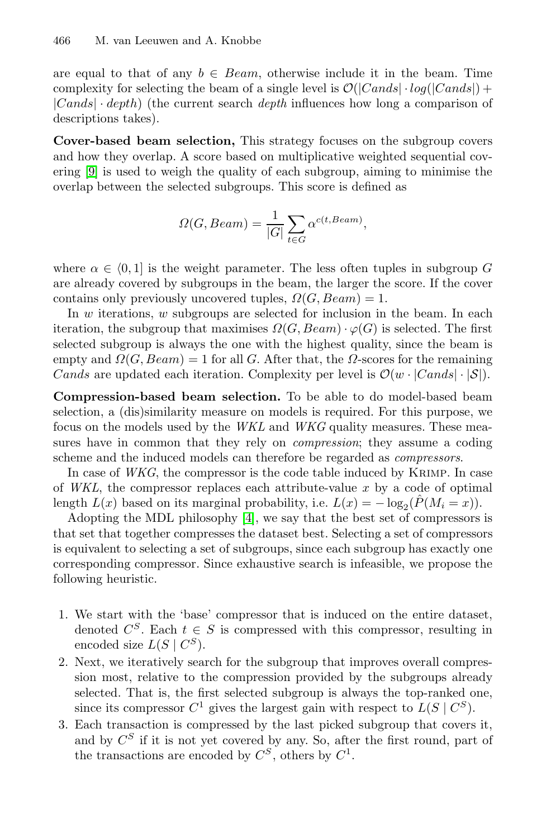are equal to that of any  $b \in Beam$ , otherwise include it in the beam. Time complexity for selecting the beam of a single level is  $\mathcal{O}(|Cands| \cdot log(|Cands|) +$ |Cands| · depth) (the current search *depth* influences how long a comparison of descriptions takes).

**Cover-based beam selection,** This strategy focuses on the subgroup covers and how they overlap. A score based on multiplicative weighted sequential covering [\[9\]](#page-15-11) is used to weigh the quality of each subgroup, aiming to minimise the overlap between the selected subgroups. This score is defined as

$$
\Omega(G,Beam) = \frac{1}{|G|} \sum_{t \in G} \alpha^{c(t,Beam)},
$$

where  $\alpha \in (0,1]$  is the weight parameter. The less often tuples in subgroup G are already covered by subgroups in the beam, the larger the score. If the cover contains only previously uncovered tuples,  $\Omega(G, Bean) = 1$ .

In  $w$  iterations,  $w$  subgroups are selected for inclusion in the beam. In each iteration, the subgroup that maximises  $\Omega(G,Beam) \cdot \varphi(G)$  is selected. The first selected subgroup is always the one with the highest quality, since the beam is empty and  $\Omega(G, Bean) = 1$  for all G. After that, the  $\Omega$ -scores for the remaining Cands are updated each iteration. Complexity per level is  $\mathcal{O}(w \cdot |Cands| \cdot |\mathcal{S}|)$ .

**Compression-based beam selection.** To be able to do model-based beam selection, a (dis)similarity measure on models is required. For this purpose, we focus on the models used by the *WKL* and *WKG* quality measures. These measures have in common that they rely on *compression*; they assume a coding scheme and the induced models can therefore be regarded as *compressors*.

In case of *WKG*, the compressor is the code table induced by Krimp. In case of *WKL*, the compressor replaces each attribute-value x by a code of optimal length  $L(x)$  based on its marginal probability, i.e.  $L(x) = -\log_2(P(M_i = x)).$ 

Adopting the MDL philosophy [\[4\]](#page-15-13), we say that the best set of compressors is that set that together compresses the dataset best. Selecting a set of compressors is equivalent to selecting a set of subgroups, since each subgroup has exactly one corresponding compressor. Since exhaustive search is infeasible, we propose the following heuristic.

- 1. We start with the 'base' compressor that is induced on the entire dataset, denoted  $C^S$ . Each  $t \in S$  is compressed with this compressor, resulting in encoded size  $L(S \mid C^S)$ .
- 2. Next, we iteratively search for the subgroup that improves overall compression most, relative to the compression provided by the subgroups already selected. That is, the first selected subgroup is always the top-ranked one, since its compressor  $C^1$  gives the largest gain with respect to  $L(S \mid C^S)$ .
- 3. Each transaction is compressed by the last picked subgroup that covers it, and by C*<sup>S</sup>* if it is not yet covered by any. So, after the first round, part of the transactions are encoded by  $C^S$ , others by  $C^1$ .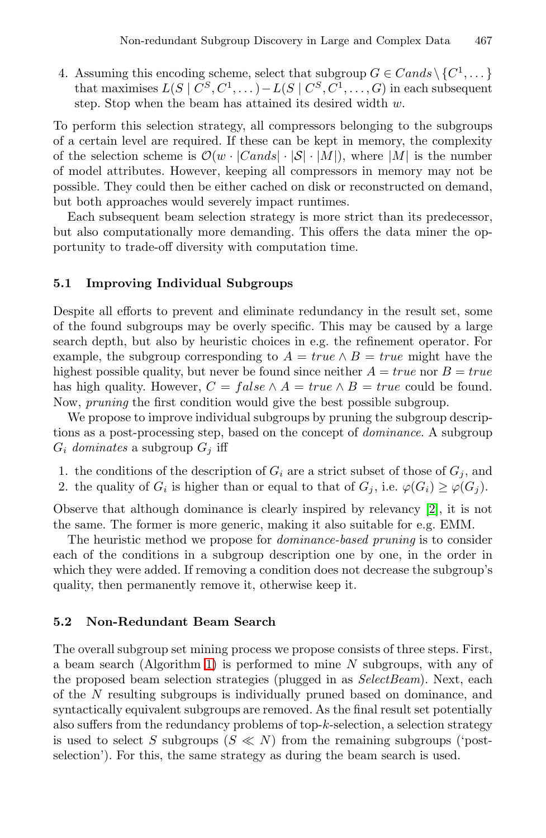4. Assuming this encoding scheme, select that subgroup  $G \in Cands \setminus \{C^1, \dots\}$ that maximises  $L(S \mid C^S, C^1, \ldots) - L(S \mid C^S, C^1, \ldots, G)$  in each subsequent step. Stop when the beam has attained its desired width  $w$ .

To perform this selection strategy, all compressors belonging to the subgroups of a certain level are required. If these can be kept in memory, the complexity of the selection scheme is  $\mathcal{O}(w \cdot |Cands| \cdot |\mathcal{S}| \cdot |M|)$ , where  $|M|$  is the number of model attributes. However, keeping all compressors in memory may not be possible. They could then be either cached on disk or reconstructed on demand, but both approaches would severely impact runtimes.

Each subsequent beam selection strategy is more strict than its predecessor, but also computationally more demanding. This offers the data miner the opportunity to trade-off diversity with computation time.

#### **5.1 Improving Individual Subgroups**

Despite all efforts to prevent and eliminate redundancy in the result set, some of the found subgroups may be overly specific. This may be caused by a large search depth, but also by heuristic choices in e.g. the refinement operator. For example, the subgroup corresponding to  $A = true \wedge B = true$  might have the highest possible quality, but never be found since neither  $A = true$  nor  $B = true$ has high quality. However,  $C = false \wedge A = true \wedge B = true$  could be found. Now, *pruning* the first condition would give the best possible subgroup.

We propose to improve individual subgroups by pruning the subgroup descriptions as a post-processing step, based on the concept of *dominance*. A subgroup  $G_i$  *dominates* a subgroup  $G_j$  iff

- 1. the conditions of the description of  $G_i$  are a strict subset of those of  $G_j$ , and
- 2. the quality of  $G_i$  is higher than or equal to that of  $G_j$ , i.e.  $\varphi(G_i) \geq \varphi(G_j)$ .

Observe that although dominance is clearly inspired by relevancy [\[2\]](#page-15-14), it is not the same. The former is more generic, making it also suitable for e.g. EMM.

The heuristic method we propose for *dominance-based pruning* is to consider each of the conditions in a subgroup description one by one, in the order in which they were added. If removing a condition does not decrease the subgroup's quality, then permanently remove it, otherwise keep it.

#### **5.2 Non-Redundant Beam Search**

The overall subgroup set mining process we propose consists of three steps. First, a beam search (Algorithm [1\)](#page-4-1) is performed to mine N subgroups, with any of the proposed beam selection strategies (plugged in as *SelectBeam*). Next, each of the N resulting subgroups is individually pruned based on dominance, and syntactically equivalent subgroups are removed. As the final result set potentially also suffers from the redundancy problems of top-k-selection, a selection strategy is used to select S subgroups  $(S \ll N)$  from the remaining subgroups ('postselection'). For this, the same strategy as during the beam search is used.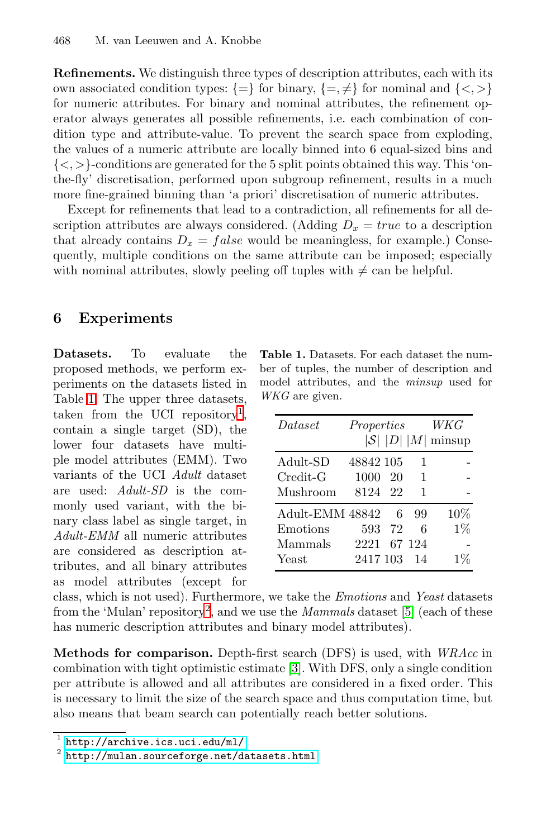**Refinements.** We distinguish three types of description attributes, each with its own associated condition types:  $\{=\}$  for binary,  $\{=\,\neq\}$  for nominal and  $\{<,\gt\}$ for numeric attributes. For binary and nominal attributes, the refinement operator always generates all possible refinements, i.e. each combination of condition type and attribute-value. To prevent the search space from exploding, the values of a numeric attribute are locally binned into 6 equal-sized bins and  $\{<,>\}$ -conditions are generated for the 5 split points obtained this way. This 'onthe-fly' discretisation, performed upon subgroup refinement, results in a much more fine-grained binning than 'a priori' discretisation of numeric attributes.

Except for refinements that lead to a contradiction, all refinements for all description attributes are always considered. (Adding  $D_x = true$  to a description that already contains  $D_x = false$  would be meaningless, for example.) Consequently, multiple conditions on the same attribute can be imposed; especially with nominal attributes, slowly peeling off tuples with  $\neq$  can be helpful.

### <span id="page-9-0"></span>**6 Experiments**

**Datasets.** To evaluate the proposed methods, we perform experiments on the datasets listed in Table [1.](#page-9-1) The upper three datasets, taken from the UCI repository<sup>[1](#page-9-2)</sup>, contain a single target (SD), the lower four datasets have multiple model attributes (EMM). Two variants of the UCI *Adult* dataset are used: *Adult-SD* is the commonly used variant, with the binary class label as single target, in *Adult-EMM* all numeric attributes are considered as description attributes, and all binary attributes as model attributes (except for

<span id="page-9-1"></span>**Table 1.** Datasets. For each dataset the number of tuples, the number of description and model attributes, and the *minsup* used for *WKG* are given.

| Dataset         | Properties  |   |                | WKG                            |
|-----------------|-------------|---|----------------|--------------------------------|
|                 |             |   |                | $ \mathcal{S} $  D   M  minsup |
| Adult-SD        | 48842 105   |   | 1              |                                |
| $Credit-G$      | 1000 20     |   | $\overline{1}$ |                                |
| Mushroom        | 8124 22     |   | 1              |                                |
| Adult-EMM 48842 |             | 6 | 99             | 10%                            |
| Emotions        | 593 72      |   | 6              | $1\%$                          |
| Mammals         | 2221 67 124 |   |                |                                |
| Yeast           | 2417 103 14 |   |                | $1\%$                          |

class, which is not used). Furthermore, we take the *Emotions* and *Yeast* datasets from the 'Mulan' repository[2](#page-9-3), and we use the *Mammals* dataset [\[5\]](#page-15-15) (each of these has numeric description attributes and binary model attributes).

**Methods for comparison.** Depth-first search (DFS) is used, with *WRAcc* in combination with tight optimistic estimate [\[3\]](#page-15-3). With DFS, only a single condition per attribute is allowed and all attributes are considered in a fixed order. This is necessary to limit the size of the search space and thus computation time, but also means that beam search can potentially reach better solutions.

 $1$  <http://archive.ics.uci.edu/ml/>

<span id="page-9-3"></span><span id="page-9-2"></span><sup>2</sup> <http://mulan.sourceforge.net/datasets.html>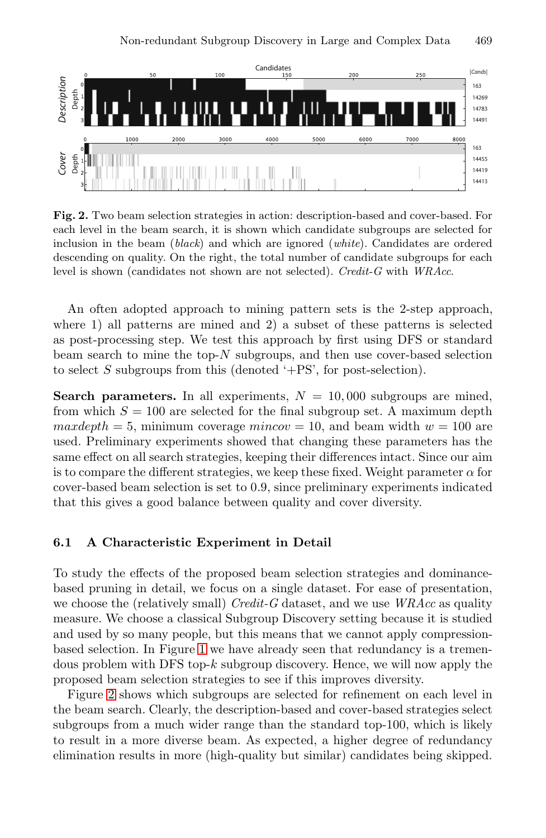

<span id="page-10-0"></span>**Fig. 2.** Two beam selection strategies in action: description-based and cover-based. For each level in the beam search, it is shown which candidate subgroups are selected for inclusion in the beam (*black*) and which are ignored (*white*). Candidates are ordered descending on quality. On the right, the total number of candidate subgroups for each level is shown (candidates not shown are not selected). *Credit-G* with *WRAcc*.

An often adopted approach to mining pattern sets is the 2-step approach, where 1) all patterns are mined and 2) a subset of these patterns is selected as post-processing step. We test this approach by first using DFS or standard beam search to mine the top-N subgroups, and then use cover-based selection to select S subgroups from this (denoted  $+PS$ , for post-selection).

**Search parameters.** In all experiments,  $N = 10,000$  subgroups are mined, from which  $S = 100$  are selected for the final subgroup set. A maximum depth  $maxdepth = 5$ , minimum coverage mincov = 10, and beam width  $w = 100$  are used. Preliminary experiments showed that changing these parameters has the same effect on all search strategies, keeping their differences intact. Since our aim is to compare the different strategies, we keep these fixed. Weight parameter  $\alpha$  for cover-based beam selection is set to 0.9, since preliminary experiments indicated that this gives a good balance between quality and cover diversity.

#### **6.1 A Characteristic Experiment in Detail**

To study the effects of the proposed beam selection strategies and dominancebased pruning in detail, we focus on a single dataset. For ease of presentation, we choose the (relatively small) *Credit-G* dataset, and we use *WRAcc* as quality measure. We choose a classical Subgroup Discovery setting because it is studied and used by so many people, but this means that we cannot apply compressionbased selection. In Figure [1](#page-1-0) we have already seen that redundancy is a tremendous problem with DFS top-k subgroup discovery. Hence, we will now apply the proposed beam selection strategies to see if this improves diversity.

Figure [2](#page-10-0) shows which subgroups are selected for refinement on each level in the beam search. Clearly, the description-based and cover-based strategies select subgroups from a much wider range than the standard top-100, which is likely to result in a more diverse beam. As expected, a higher degree of redundancy elimination results in more (high-quality but similar) candidates being skipped.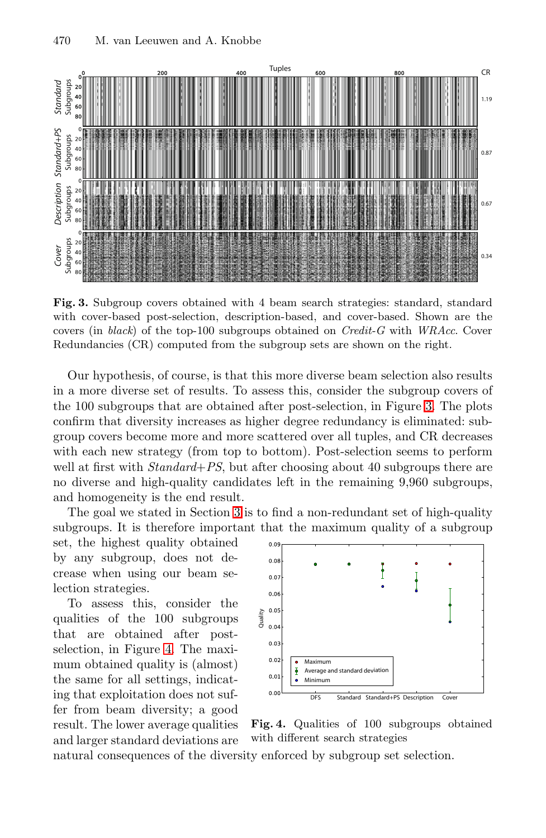

<span id="page-11-0"></span>**Fig. 3.** Subgroup covers obtained with 4 beam search strategies: standard, standard with cover-based post-selection, description-based, and cover-based. Shown are the covers (in *black*) of the top-100 subgroups obtained on *Credit-G* with *WRAcc*. Cover Redundancies (CR) computed from the subgroup sets are shown on the right.

Our hypothesis, of course, is that this more diverse beam selection also results in a more diverse set of results. To assess this, consider the subgroup covers of the 100 subgroups that are obtained after post-selection, in Figure [3.](#page-11-0) The plots confirm that diversity increases as higher degree redundancy is eliminated: subgroup covers become more and more scattered over all tuples, and CR decreases with each new strategy (from top to bottom). Post-selection seems to perform well at first with *Standard*+*PS*, but after choosing about 40 subgroups there are no diverse and high-quality candidates left in the remaining 9,960 subgroups, and homogeneity is the end result.

The goal we stated in Section [3](#page-4-0) is to find a non-redundant set of high-quality subgroups. It is therefore important that the maximum quality of a subgroup

set, the highest quality obtained by any subgroup, does not decrease when using our beam selection strategies.

To assess this, consider the qualities of the 100 subgroups that are obtained after postselection, in Figure [4.](#page-11-1) The maximum obtained quality is (almost) the same for all settings, indicating that exploitation does not suffer from beam diversity; a good result. The lower average qualities and larger standard deviations are



<span id="page-11-1"></span>**Fig. 4.** Qualities of 100 subgroups obtained with different search strategies

natural consequences of the diversity enforced by subgroup set selection.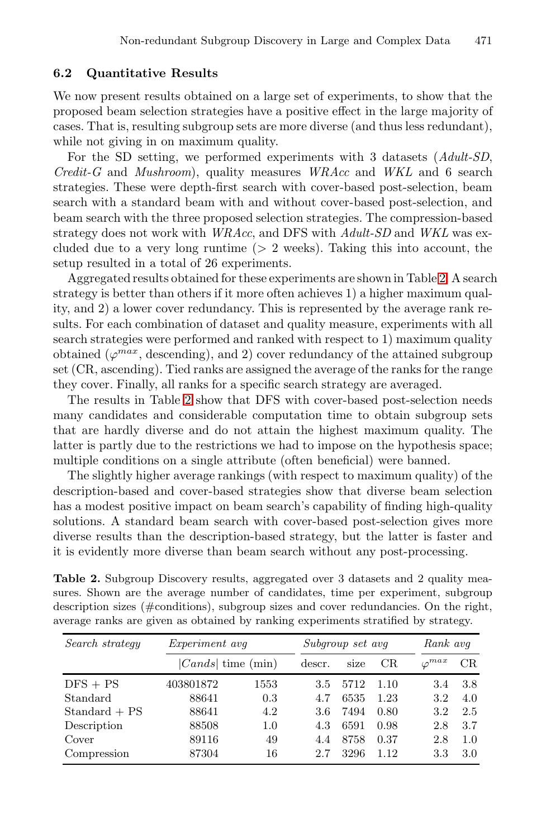#### **6.2 Quantitative Results**

We now present results obtained on a large set of experiments, to show that the proposed beam selection strategies have a positive effect in the large majority of cases. That is, resulting subgroup sets are more diverse (and thus less redundant), while not giving in on maximum quality.

For the SD setting, we performed experiments with 3 datasets (*Adult-SD*, *Credit-G* and *Mushroom*), quality measures *WRAcc* and *WKL* and 6 search strategies. These were depth-first search with cover-based post-selection, beam search with a standard beam with and without cover-based post-selection, and beam search with the three proposed selection strategies. The compression-based strategy does not work with *WRAcc*, and DFS with *Adult-SD* and *WKL* was excluded due to a very long runtime  $(> 2$  weeks). Taking this into account, the setup resulted in a total of 26 experiments.

Aggregated results obtained for these experiments are shown in Table [2.](#page-12-0) A search strategy is better than others if it more often achieves 1) a higher maximum quality, and 2) a lower cover redundancy. This is represented by the average rank results. For each combination of dataset and quality measure, experiments with all search strategies were performed and ranked with respect to 1) maximum quality obtained  $(\varphi^{max}$ , descending), and 2) cover redundancy of the attained subgroup set (CR, ascending). Tied ranks are assigned the average of the ranks for the range they cover. Finally, all ranks for a specific search strategy are averaged.

The results in Table [2](#page-12-0) show that DFS with cover-based post-selection needs many candidates and considerable computation time to obtain subgroup sets that are hardly diverse and do not attain the highest maximum quality. The latter is partly due to the restrictions we had to impose on the hypothesis space; multiple conditions on a single attribute (often beneficial) were banned.

The slightly higher average rankings (with respect to maximum quality) of the description-based and cover-based strategies show that diverse beam selection has a modest positive impact on beam search's capability of finding high-quality solutions. A standard beam search with cover-based post-selection gives more diverse results than the description-based strategy, but the latter is faster and it is evidently more diverse than beam search without any post-processing.

<span id="page-12-0"></span>**Table 2.** Subgroup Discovery results, aggregated over 3 datasets and 2 quality measures. Shown are the average number of candidates, time per experiment, subgroup description sizes (#conditions), subgroup sizes and cover redundancies. On the right, average ranks are given as obtained by ranking experiments stratified by strategy.

| Search strategy | <i>Experiment avg</i> |      | Subgroup set avq |      |      | Rank avq        |     |
|-----------------|-----------------------|------|------------------|------|------|-----------------|-----|
|                 | $ Cands $ time (min)  |      | descr.           | size | CR.  | $\varphi^{max}$ | CR  |
| $DFS + PS$      | 403801872             | 1553 | 3.5              | 5712 | 1.10 | 3.4             | 3.8 |
| Standard        | 88641                 | 0.3  | 4.7              | 6535 | 1.23 | $3.2\,$         | 4.0 |
| $Standard + PS$ | 88641                 | 4.2  | 3.6              | 7494 | 0.80 | 3.2             | 2.5 |
| Description     | 88508                 | 1.0  | 4.3              | 6591 | 0.98 | 2.8             | 3.7 |
| Cover           | 89116                 | 49   | 4.4              | 8758 | 0.37 | 2.8             | 1.0 |
| Compression     | 87304                 | 16   | 2.7              | 3296 | 1.12 | 3.3             | 3.0 |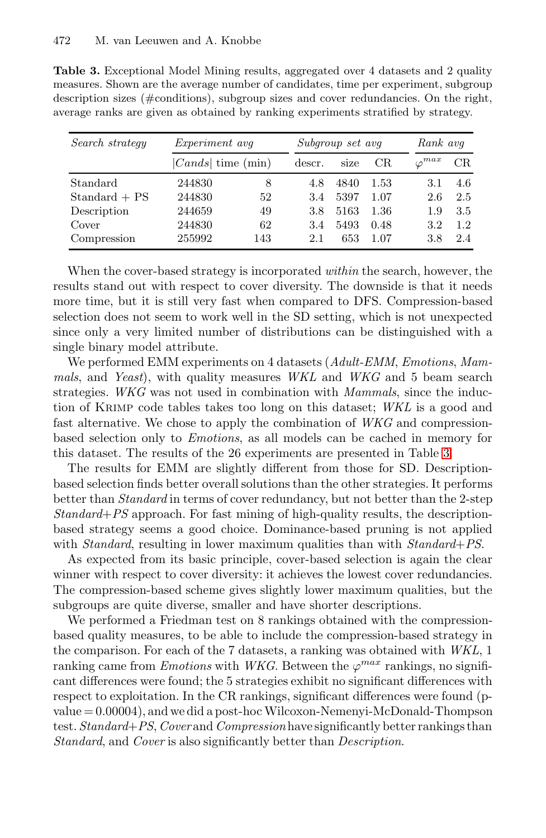| Search strategy | <i>Experiment</i> avq<br>$ Cands $ time (min) |     | Subgroup set avq |      |      |                 | Rank avq |  |
|-----------------|-----------------------------------------------|-----|------------------|------|------|-----------------|----------|--|
|                 |                                               |     | descr.           | size | CR   | $\varphi^{max}$ | CR       |  |
| Standard        | 244830                                        | 8   | 4.8              | 4840 | 1.53 | 3.1             | 4.6      |  |
| $Standard + PS$ | 244830                                        | 52  | 3.4              | 5397 | 1.07 | 2.6             | 2.5      |  |
| Description     | 244659                                        | 49  | 3.8              | 5163 | 1.36 | 1.9             | 3.5      |  |
| Cover           | 244830                                        | 62  | 3.4              | 5493 | 0.48 | $3.2\,$         | 1.2      |  |
| Compression     | 255992                                        | 143 | 2.1              | 653  | 1.07 | 3.8             | 2.4      |  |

<span id="page-13-0"></span>**Table 3.** Exceptional Model Mining results, aggregated over 4 datasets and 2 quality measures. Shown are the average number of candidates, time per experiment, subgroup description sizes (#conditions), subgroup sizes and cover redundancies. On the right, average ranks are given as obtained by ranking experiments stratified by strategy.

When the cover-based strategy is incorporated *within* the search, however, the results stand out with respect to cover diversity. The downside is that it needs more time, but it is still very fast when compared to DFS. Compression-based selection does not seem to work well in the SD setting, which is not unexpected since only a very limited number of distributions can be distinguished with a single binary model attribute.

We performed EMM experiments on 4 datasets (*Adult-EMM*, *Emotions*, *Mammals*, and *Yeast*), with quality measures *WKL* and *WKG* and 5 beam search strategies. *WKG* was not used in combination with *Mammals*, since the induction of Krimp code tables takes too long on this dataset; *WKL* is a good and fast alternative. We chose to apply the combination of *WKG* and compressionbased selection only to *Emotions*, as all models can be cached in memory for this dataset. The results of the 26 experiments are presented in Table [3.](#page-13-0)

The results for EMM are slightly different from those for SD. Descriptionbased selection finds better overall solutions than the other strategies. It performs better than *Standard* in terms of cover redundancy, but not better than the 2-step *Standard*+*PS* approach. For fast mining of high-quality results, the descriptionbased strategy seems a good choice. Dominance-based pruning is not applied with *Standard*, resulting in lower maximum qualities than with *Standard*+*PS*.

As expected from its basic principle, cover-based selection is again the clear winner with respect to cover diversity: it achieves the lowest cover redundancies. The compression-based scheme gives slightly lower maximum qualities, but the subgroups are quite diverse, smaller and have shorter descriptions.

We performed a Friedman test on 8 rankings obtained with the compressionbased quality measures, to be able to include the compression-based strategy in the comparison. For each of the 7 datasets, a ranking was obtained with *WKL*, 1 ranking came from *Emotions* with *WKG*. Between the  $\varphi^{max}$  rankings, no significant differences were found; the 5 strategies exhibit no significant differences with respect to exploitation. In the CR rankings, significant differences were found (pvalue = 0.00004), and we did a post-hocWilcoxon-Nemenyi-McDonald-Thompson test. *Standard*+*PS*, *Cover* and*Compression* have significantly better rankings than *Standard*, and *Cover* is also significantly better than *Description*.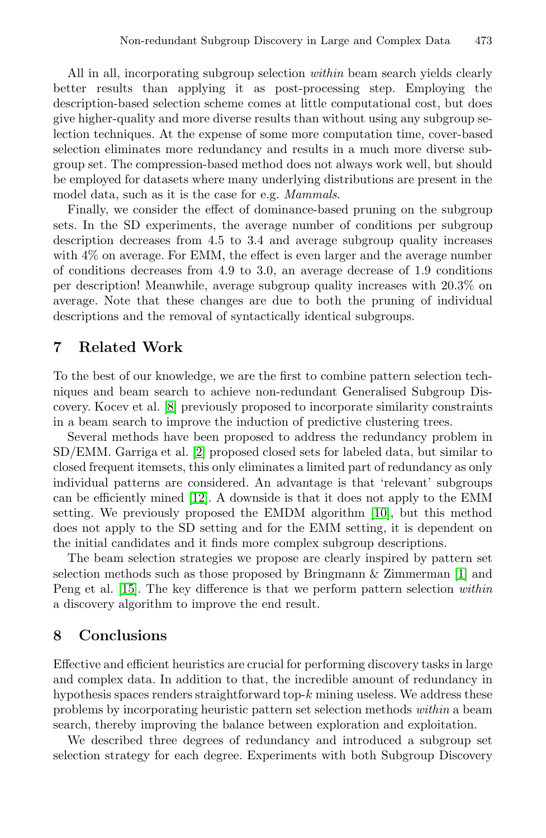All in all, incorporating subgroup selection *within* beam search yields clearly better results than applying it as post-processing step. Employing the description-based selection scheme comes at little computational cost, but does give higher-quality and more diverse results than without using any subgroup selection techniques. At the expense of some more computation time, cover-based selection eliminates more redundancy and results in a much more diverse subgroup set. The compression-based method does not always work well, but should be employed for datasets where many underlying distributions are present in the model data, such as it is the case for e.g. *Mammals*.

Finally, we consider the effect of dominance-based pruning on the subgroup sets. In the SD experiments, the average number of conditions per subgroup description decreases from 4.5 to 3.4 and average subgroup quality increases with 4% on average. For EMM, the effect is even larger and the average number of conditions decreases from 4.9 to 3.0, an average decrease of 1.9 conditions per description! Meanwhile, average subgroup quality increases with 20.3% on average. Note that these changes are due to both the pruning of individual descriptions and the removal of syntactically identical subgroups.

# <span id="page-14-0"></span>**7 Related Work**

To the best of our knowledge, we are the first to combine pattern selection techniques and beam search to achieve non-redundant Generalised Subgroup Discovery. Kocev et al. [\[8\]](#page-15-16) previously proposed to incorporate similarity constraints in a beam search to improve the induction of predictive clustering trees.

Several methods have been proposed to address the redundancy problem in SD/EMM. Garriga et al. [\[2\]](#page-15-14) proposed closed sets for labeled data, but similar to closed frequent itemsets, this only eliminates a limited part of redundancy as only individual patterns are considered. An advantage is that 'relevant' subgroups can be efficiently mined [\[12\]](#page-15-17). A downside is that it does not apply to the EMM setting. We previously proposed the EMDM algorithm [\[10\]](#page-15-5), but this method does not apply to the SD setting and for the EMM setting, it is dependent on the initial candidates and it finds more complex subgroup descriptions.

The beam selection strategies we propose are clearly inspired by pattern set selection methods such as those proposed by Bringmann & Zimmerman [\[1\]](#page-15-8) and Peng et al. [\[15\]](#page-15-10). The key difference is that we perform pattern selection *within* a discovery algorithm to improve the end result.

## <span id="page-14-1"></span>**8 Conclusions**

Effective and efficient heuristics are crucial for performing discovery tasks in large and complex data. In addition to that, the incredible amount of redundancy in hypothesis spaces renders straightforward top- $k$  mining useless. We address these problems by incorporating heuristic pattern set selection methods *within* a beam search, thereby improving the balance between exploration and exploitation.

We described three degrees of redundancy and introduced a subgroup set selection strategy for each degree. Experiments with both Subgroup Discovery